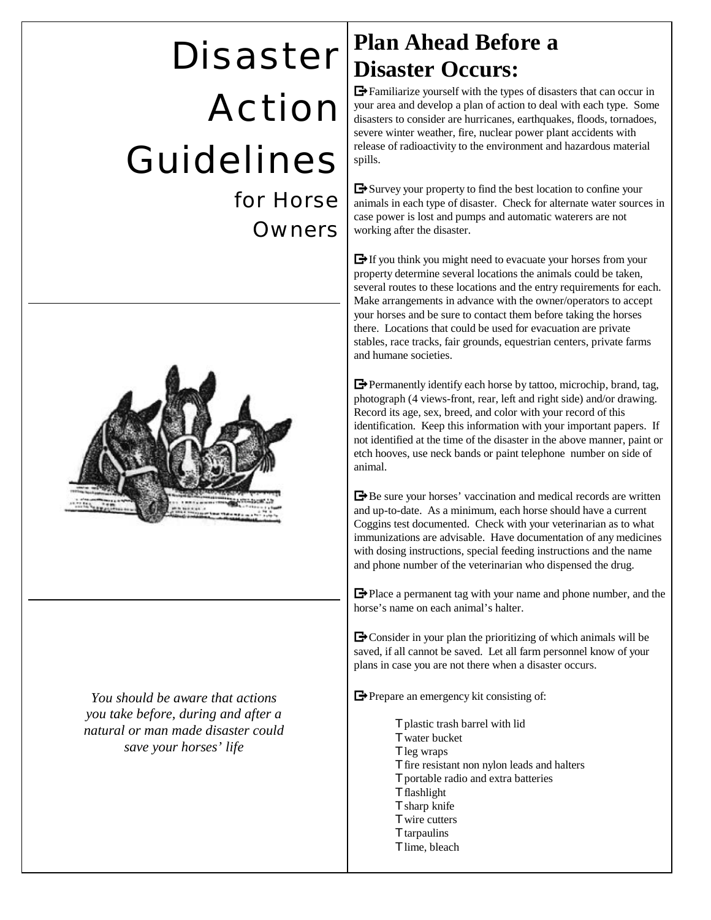# Disaster Action Guidelines

for Horse Owners



*You should be aware that actions you take before, during and after a natural or man made disaster could save your horses' life*

#### **Plan Ahead Before a Disaster Occurs:**

 $\rightarrow$  Familiarize yourself with the types of disasters that can occur in your area and develop a plan of action to deal with each type. Some disasters to consider are hurricanes, earthquakes, floods, tornadoes, severe winter weather, fire, nuclear power plant accidents with release of radioactivity to the environment and hazardous material spills.

 $\rightarrow$  Survey your property to find the best location to confine your animals in each type of disaster. Check for alternate water sources in case power is lost and pumps and automatic waterers are not working after the disaster.

 $\rightarrow$  If you think you might need to evacuate your horses from your property determine several locations the animals could be taken, several routes to these locations and the entry requirements for each. Make arrangements in advance with the owner/operators to accept your horses and be sure to contact them before taking the horses there. Locations that could be used for evacuation are private stables, race tracks, fair grounds, equestrian centers, private farms and humane societies.

 $\rightarrow$  Permanently identify each horse by tattoo, microchip, brand, tag, photograph (4 views-front, rear, left and right side) and/or drawing. Record its age, sex, breed, and color with your record of this identification. Keep this information with your important papers. If not identified at the time of the disaster in the above manner, paint or etch hooves, use neck bands or paint telephone number on side of animal.

Be sure your horses' vaccination and medical records are written and up-to-date. As a minimum, each horse should have a current Coggins test documented. Check with your veterinarian as to what immunizations are advisable. Have documentation of any medicines with dosing instructions, special feeding instructions and the name and phone number of the veterinarian who dispensed the drug.

 $\rightarrow$  Place a permanent tag with your name and phone number, and the horse's name on each animal's halter.

 $\rightarrow$  Consider in your plan the prioritizing of which animals will be saved, if all cannot be saved. Let all farm personnel know of your plans in case you are not there when a disaster occurs.

Prepare an emergency kit consisting of:

Tplastic trash barrel with lid Twater bucket Tleg wraps Tfire resistant non nylon leads and halters Tportable radio and extra batteries **Tflashlight** Tsharp knife Twire cutters **T**tarpaulins Tlime, bleach